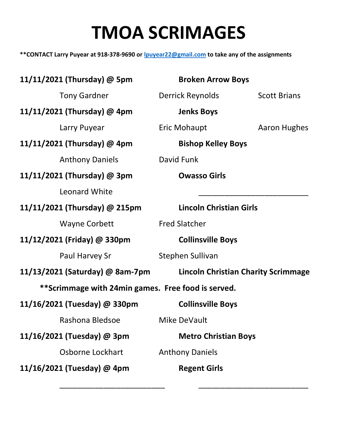## TMOA SCRIMAGES

\*\*CONTACT Larry Puyear at 918-378-9690 or *lpuyear22@gmail.com* to take any of the assignments

11/11/2021 (Thursday) @ 5pm Broken Arrow Boys Tony Gardner **Derrick Reynolds** Scott Brians 11/11/2021 (Thursday) @ 4pm Jenks Boys Larry Puyear **Eric Mohaupt Aaron Hughes** 11/11/2021 (Thursday) @ 4pm Bishop Kelley Boys Anthony Daniels David Funk 11/11/2021 (Thursday) @ 3pm Owasso Girls Leonard White 11/11/2021 (Thursday) @ 215pm Lincoln Christian Girls Wayne Corbett Fred Slatcher 11/12/2021 (Friday) @ 330pm Collinsville Boys Paul Harvey Sr Stephen Sullivan 11/13/2021 (Saturday) @ 8am-7pm Lincoln Christian Charity Scrimmage \*\*Scrimmage with 24min games. Free food is served. 11/16/2021 (Tuesday) @ 330pm Collinsville Boys Rashona Bledsoe Mike DeVault 11/16/2021 (Tuesday) @ 3pm Metro Christian Boys Osborne Lockhart Anthony Daniels 11/16/2021 (Tuesday) @ 4pm Regent Girls

 $\overline{\phantom{a}}$  ,  $\overline{\phantom{a}}$  ,  $\overline{\phantom{a}}$  ,  $\overline{\phantom{a}}$  ,  $\overline{\phantom{a}}$  ,  $\overline{\phantom{a}}$  ,  $\overline{\phantom{a}}$  ,  $\overline{\phantom{a}}$  ,  $\overline{\phantom{a}}$  ,  $\overline{\phantom{a}}$  ,  $\overline{\phantom{a}}$  ,  $\overline{\phantom{a}}$  ,  $\overline{\phantom{a}}$  ,  $\overline{\phantom{a}}$  ,  $\overline{\phantom{a}}$  ,  $\overline{\phantom{a}}$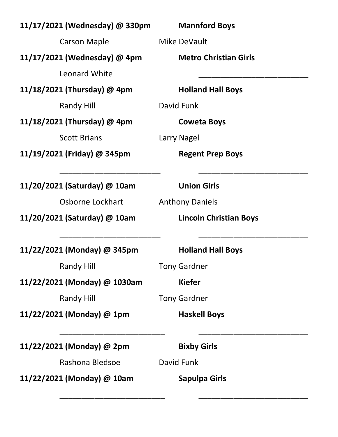| 11/17/2021 (Wednesday) @ 330pm | <b>Mannford Boys</b>          |
|--------------------------------|-------------------------------|
| <b>Carson Maple</b>            | Mike DeVault                  |
| 11/17/2021 (Wednesday) @ 4pm   | <b>Metro Christian Girls</b>  |
| Leonard White                  |                               |
| 11/18/2021 (Thursday) @ 4pm    | <b>Holland Hall Boys</b>      |
| Randy Hill                     | David Funk                    |
| 11/18/2021 (Thursday) @ 4pm    | <b>Coweta Boys</b>            |
| <b>Scott Brians</b>            | Larry Nagel                   |
| 11/19/2021 (Friday) @ 345pm    | <b>Regent Prep Boys</b>       |
|                                |                               |
| 11/20/2021 (Saturday) @ 10am   | <b>Union Girls</b>            |
| Osborne Lockhart               | <b>Anthony Daniels</b>        |
| 11/20/2021 (Saturday) @ 10am   | <b>Lincoln Christian Boys</b> |
|                                |                               |
| 11/22/2021 (Monday) @ 345pm    | <b>Holland Hall Boys</b>      |
| Randy Hill                     | <b>Tony Gardner</b>           |
| 11/22/2021 (Monday) @ 1030am   | <b>Kiefer</b>                 |
| <b>Randy Hill</b>              | <b>Tony Gardner</b>           |
| 11/22/2021 (Monday) @ 1pm      | <b>Haskell Boys</b>           |
|                                |                               |
| 11/22/2021 (Monday) @ 2pm      | <b>Bixby Girls</b>            |
| Rashona Bledsoe                | David Funk                    |
| 11/22/2021 (Monday) @ 10am     | <b>Sapulpa Girls</b>          |
|                                |                               |